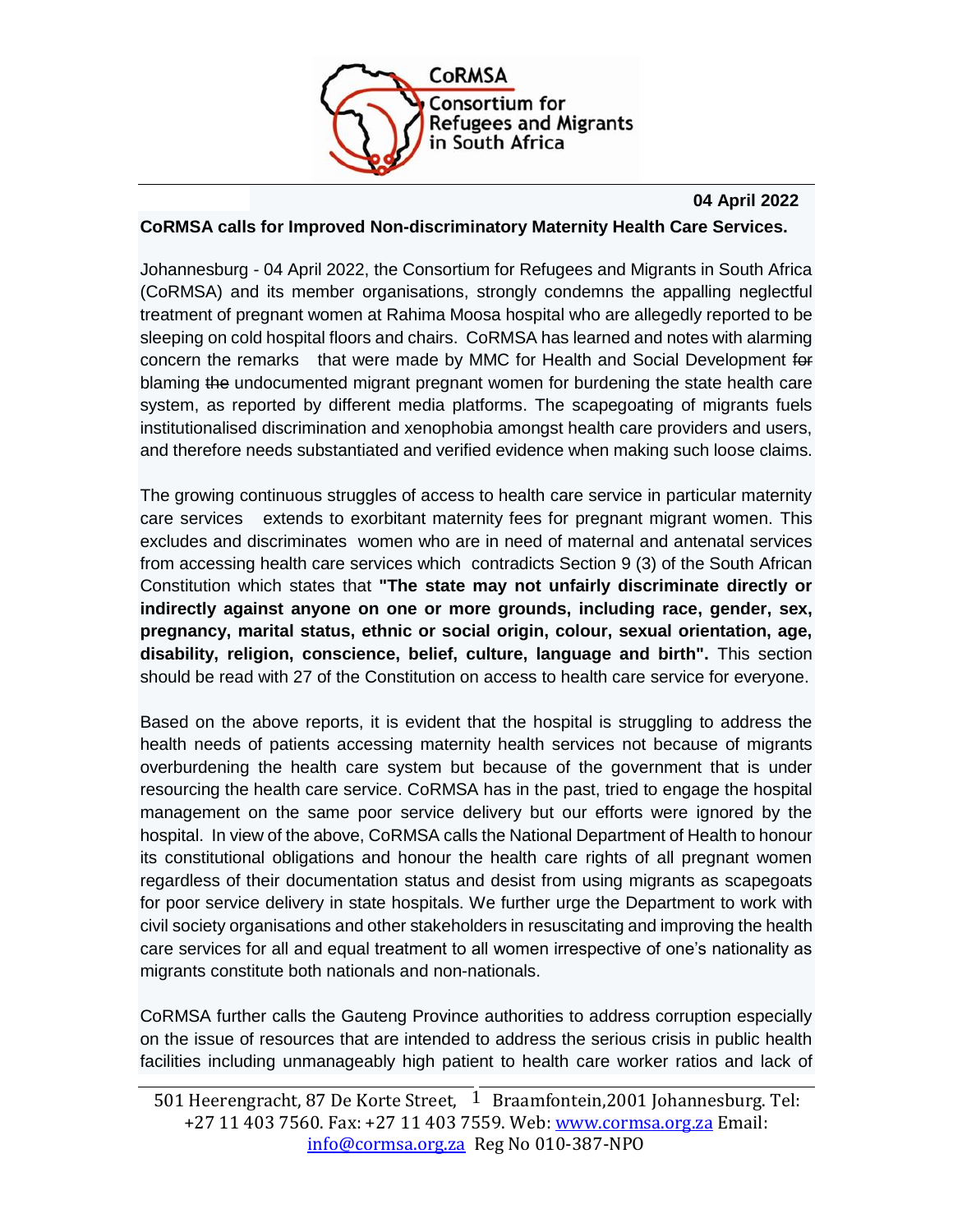

## **04 April 2022**

## **CoRMSA calls for Improved Non-discriminatory Maternity Health Care Services.**

Johannesburg - 04 April 2022, the Consortium for Refugees and Migrants in South Africa (CoRMSA) and its member organisations, strongly condemns the appalling neglectful treatment of pregnant women at Rahima Moosa hospital who are allegedly reported to be sleeping on cold hospital floors and chairs. CoRMSA has learned and notes with alarming concern the remarks that were made by MMC for Health and Social Development for blaming the undocumented migrant pregnant women for burdening the state health care system, as reported by different media platforms. The scapegoating of migrants fuels institutionalised discrimination and xenophobia amongst health care providers and users, and therefore needs substantiated and verified evidence when making such loose claims.

The growing continuous struggles of access to health care service in particular maternity care services extends to exorbitant maternity fees for pregnant migrant women. This excludes and discriminates women who are in need of maternal and antenatal services from accessing health care services which contradicts Section 9 (3) of the South African Constitution which states that **"The state may not unfairly discriminate directly or indirectly against anyone on one or more grounds, including race, gender, sex, pregnancy, marital status, ethnic or social origin, colour, sexual orientation, age, disability, religion, conscience, belief, culture, language and birth".** This section should be read with 27 of the Constitution on access to health care service for everyone.

Based on the above reports, it is evident that the hospital is struggling to address the health needs of patients accessing maternity health services not because of migrants overburdening the health care system but because of the government that is under resourcing the health care service. CoRMSA has in the past, tried to engage the hospital management on the same poor service delivery but our efforts were ignored by the hospital. In view of the above, CoRMSA calls the National Department of Health to honour its constitutional obligations and honour the health care rights of all pregnant women regardless of their documentation status and desist from using migrants as scapegoats for poor service delivery in state hospitals. We further urge the Department to work with civil society organisations and other stakeholders in resuscitating and improving the health care services for all and equal treatment to all women irrespective of one's nationality as migrants constitute both nationals and non-nationals.

CoRMSA further calls the Gauteng Province authorities to address corruption especially on the issue of resources that are intended to address the serious crisis in public health facilities including unmanageably high patient to health care worker ratios and lack of

<sup>501</sup> Heerengracht, 87 De Korte Street,  $1$  Braamfontein,2001 Johannesburg. Tel: +27 11 403 7560. Fax: +27 11 403 7559. Web: [www.cormsa.org.za](http://www.cormsa.org.za/) Email: [info@cormsa.org.za](mailto:info@cormsa.org.za) Reg No 010-387-NPO